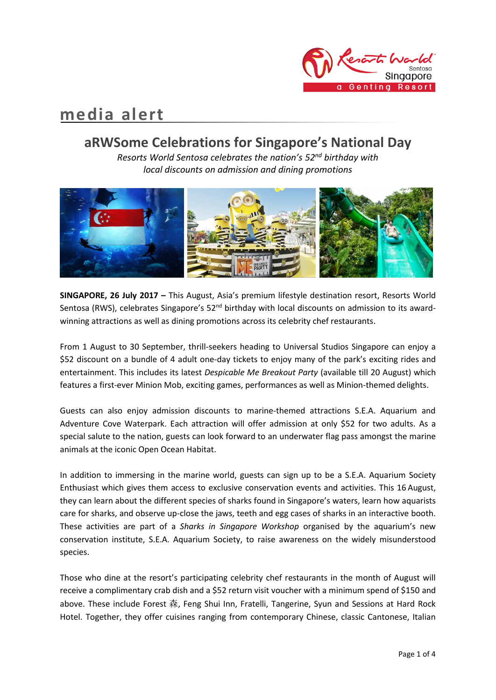

# **media alert**

# **aRWSome Celebrations for Singapore's National Day**

*Resorts World Sentosa celebrates the nation's 52nd birthday with local discounts on admission and dining promotions*



**SINGAPORE, 26 July 2017 –** This August, Asia's premium lifestyle destination resort, Resorts World Sentosa (RWS), celebrates Singapore's  $52<sup>nd</sup>$  birthday with local discounts on admission to its awardwinning attractions as well as dining promotions across its celebrity chef restaurants.

From 1 August to 30 September, thrill-seekers heading to Universal Studios Singapore can enjoy a \$52 discount on a bundle of 4 adult one-day tickets to enjoy many of the park's exciting rides and entertainment. This includes its latest *Despicable Me Breakout Party* (available till 20 August) which features a first-ever Minion Mob, exciting games, performances as well as Minion-themed delights.

Guests can also enjoy admission discounts to marine-themed attractions S.E.A. Aquarium and Adventure Cove Waterpark. Each attraction will offer admission at only \$52 for two adults. As a special salute to the nation, guests can look forward to an underwater flag pass amongst the marine animals at the iconic Open Ocean Habitat.

In addition to immersing in the marine world, guests can sign up to be a S.E.A. Aquarium Society Enthusiast which gives them access to exclusive conservation events and activities. This 16 August, they can learn about the different species of sharks found in Singapore's waters, learn how aquarists care for sharks, and observe up-close the jaws, teeth and egg cases of sharks in an interactive booth. These activities are part of a *Sharks in Singapore Workshop* organised by the aquarium's new conservation institute, S.E.A. Aquarium Society, to raise awareness on the widely misunderstood species.

Those who dine at the resort's participating celebrity chef restaurants in the month of August will receive a complimentary crab dish and a \$52 return visit voucher with a minimum spend of \$150 and above. These include Forest 森, Feng Shui Inn, Fratelli, Tangerine, Syun and Sessions at Hard Rock Hotel. Together, they offer cuisines ranging from contemporary Chinese, classic Cantonese, Italian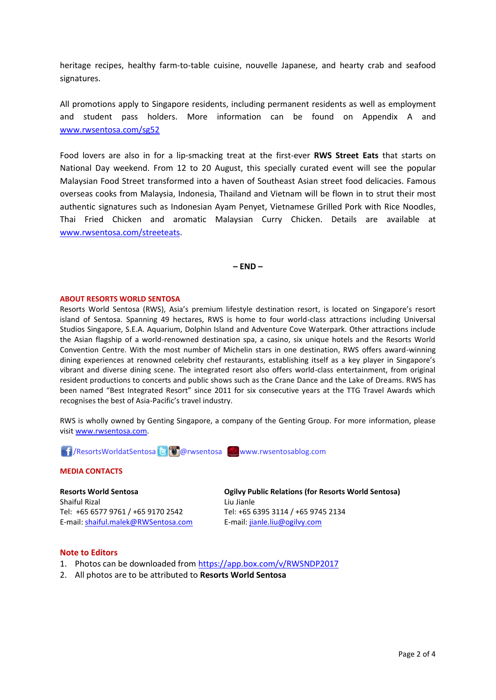heritage recipes, healthy farm-to-table cuisine, nouvelle Japanese, and hearty crab and seafood signatures.

All promotions apply to Singapore residents, including permanent residents as well as employment and student pass holders. More information can be found on Appendix A and [www.rwsentosa.com/sg52](http://www.rwsentosa.com/sg52)

Food lovers are also in for a lip-smacking treat at the first-ever **RWS Street Eats** that starts on National Day weekend. From 12 to 20 August, this specially curated event will see the popular Malaysian Food Street transformed into a haven of Southeast Asian street food delicacies. Famous overseas cooks from Malaysia, Indonesia, Thailand and Vietnam will be flown in to strut their most authentic signatures such as Indonesian Ayam Penyet, Vietnamese Grilled Pork with Rice Noodles, Thai Fried Chicken and aromatic Malaysian Curry Chicken. Details are available at [www.rwsentosa.com/streeteats.](http://www.rwsentosa.com/streeteats)

**– END –**

#### **ABOUT RESORTS WORLD SENTOSA**

Resorts World Sentosa (RWS), Asia's premium lifestyle destination resort, is located on Singapore's resort island of Sentosa. Spanning 49 hectares, RWS is home to four world-class attractions including Universal Studios Singapore, S.E.A. Aquarium, Dolphin Island and Adventure Cove Waterpark. Other attractions include the Asian flagship of a world-renowned destination spa, a casino, six unique hotels and the Resorts World Convention Centre. With the most number of Michelin stars in one destination, RWS offers award-winning dining experiences at renowned celebrity chef restaurants, establishing itself as a key player in Singapore's vibrant and diverse dining scene. The integrated resort also offers world-class entertainment, from original resident productions to concerts and public shows such as the Crane Dance and the Lake of Dreams. RWS has been named "Best Integrated Resort" since 2011 for six consecutive years at the TTG Travel Awards which recognises the best of Asia-Pacific's travel industry.

RWS is wholly owned by Genting Singapore, a company of the Genting Group. For more information, please visi[t www.rwsentosa.com.](http://www.rwsentosa.com/)

17 / ResortsWorldatSentosa 8 @ @ rwsentosa www.rwsentosablog.com

#### **MEDIA CONTACTS**

**Resorts World Sentosa** Shaiful Rizal Tel: +65 6577 9761 / +65 9170 2542 E-mail: [shaiful.malek@RWSentosa.com](mailto:loolin.chua@RWSentosa.com)

**Ogilvy Public Relations (for Resorts World Sentosa)** Liu Jianle Tel: +65 6395 3114 / +65 9745 2134 E-mail[: jianle.liu@ogilvy.com](mailto:jianle.liu@ogilvy.com)

#### **Note to Editors**

- 1. Photos can be downloaded from<https://app.box.com/v/RWSNDP2017>
- 2. All photos are to be attributed to **Resorts World Sentosa**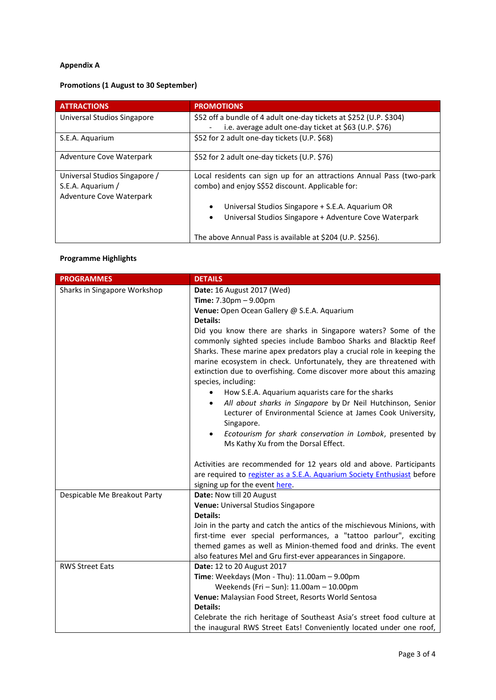### **Appendix A**

## **Promotions (1 August to 30 September)**

| <b>ATTRACTIONS</b>            | <b>PROMOTIONS</b>                                                    |
|-------------------------------|----------------------------------------------------------------------|
| Universal Studios Singapore   | \$52 off a bundle of 4 adult one-day tickets at \$252 (U.P. \$304)   |
|                               | i.e. average adult one-day ticket at \$63 (U.P. \$76)                |
| S.E.A. Aguarium               | \$52 for 2 adult one-day tickets (U.P. \$68)                         |
| Adventure Cove Waterpark      | \$52 for 2 adult one-day tickets (U.P. \$76)                         |
| Universal Studios Singapore / | Local residents can sign up for an attractions Annual Pass (two-park |
| S.E.A. Aquarium /             | combo) and enjoy S\$52 discount. Applicable for:                     |
| Adventure Cove Waterpark      |                                                                      |
|                               | Universal Studios Singapore + S.E.A. Aquarium OR                     |
|                               | Universal Studios Singapore + Adventure Cove Waterpark<br>٠          |
|                               | The above Annual Pass is available at \$204 (U.P. \$256).            |

#### **Programme Highlights**

| <b>PROGRAMMES</b>            | <b>DETAILS</b>                                                                                                                                                                                                                                                                                                                                                                    |
|------------------------------|-----------------------------------------------------------------------------------------------------------------------------------------------------------------------------------------------------------------------------------------------------------------------------------------------------------------------------------------------------------------------------------|
| Sharks in Singapore Workshop | Date: 16 August 2017 (Wed)                                                                                                                                                                                                                                                                                                                                                        |
|                              | <b>Time:</b> $7.30 \text{pm} - 9.00 \text{pm}$                                                                                                                                                                                                                                                                                                                                    |
|                              | Venue: Open Ocean Gallery @ S.E.A. Aquarium                                                                                                                                                                                                                                                                                                                                       |
|                              | <b>Details:</b>                                                                                                                                                                                                                                                                                                                                                                   |
|                              | Did you know there are sharks in Singapore waters? Some of the<br>commonly sighted species include Bamboo Sharks and Blacktip Reef<br>Sharks. These marine apex predators play a crucial role in keeping the<br>marine ecosystem in check. Unfortunately, they are threatened with<br>extinction due to overfishing. Come discover more about this amazing<br>species, including: |
|                              | How S.E.A. Aquarium aquarists care for the sharks                                                                                                                                                                                                                                                                                                                                 |
|                              | All about sharks in Singapore by Dr Neil Hutchinson, Senior<br>$\bullet$<br>Lecturer of Environmental Science at James Cook University,<br>Singapore.                                                                                                                                                                                                                             |
|                              | Ecotourism for shark conservation in Lombok, presented by<br>$\bullet$<br>Ms Kathy Xu from the Dorsal Effect.                                                                                                                                                                                                                                                                     |
|                              | Activities are recommended for 12 years old and above. Participants                                                                                                                                                                                                                                                                                                               |
|                              | are required to register as a S.E.A. Aquarium Society Enthusiast before                                                                                                                                                                                                                                                                                                           |
|                              | signing up for the event here.                                                                                                                                                                                                                                                                                                                                                    |
| Despicable Me Breakout Party | Date: Now till 20 August                                                                                                                                                                                                                                                                                                                                                          |
|                              | Venue: Universal Studios Singapore                                                                                                                                                                                                                                                                                                                                                |
|                              | Details:                                                                                                                                                                                                                                                                                                                                                                          |
|                              | Join in the party and catch the antics of the mischievous Minions, with                                                                                                                                                                                                                                                                                                           |
|                              | first-time ever special performances, a "tattoo parlour", exciting                                                                                                                                                                                                                                                                                                                |
|                              | themed games as well as Minion-themed food and drinks. The event                                                                                                                                                                                                                                                                                                                  |
|                              | also features Mel and Gru first-ever appearances in Singapore.                                                                                                                                                                                                                                                                                                                    |
| <b>RWS Street Eats</b>       | Date: 12 to 20 August 2017                                                                                                                                                                                                                                                                                                                                                        |
|                              | Time: Weekdays (Mon - Thu): 11.00am - 9.00pm<br>Weekends (Fri - Sun): 11.00am - 10.00pm                                                                                                                                                                                                                                                                                           |
|                              | Venue: Malaysian Food Street, Resorts World Sentosa                                                                                                                                                                                                                                                                                                                               |
|                              | <b>Details:</b>                                                                                                                                                                                                                                                                                                                                                                   |
|                              | Celebrate the rich heritage of Southeast Asia's street food culture at                                                                                                                                                                                                                                                                                                            |
|                              | the inaugural RWS Street Eats! Conveniently located under one roof,                                                                                                                                                                                                                                                                                                               |